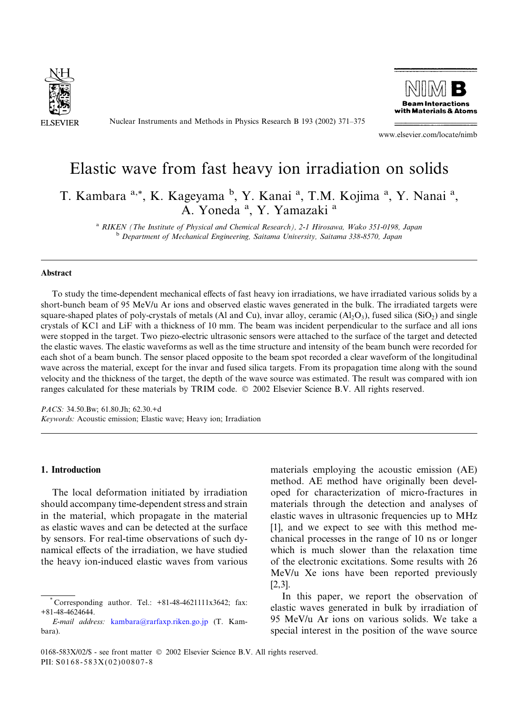

Nuclear Instruments and Methods in Physics Research B 193 (2002) 371–375



www.elsevier.com/locate/nimb

# Elastic wave from fast heavy ion irradiation on solids

T. Kambara <sup>a,\*</sup>, K. Kageyama <sup>b</sup>, Y. Kanai <sup>a</sup>, T.M. Kojima <sup>a</sup>, Y. Nanai <sup>a</sup>, A. Yoneda<sup>a</sup>, Y. Yamazaki<sup>a</sup>

<sup>a</sup> RIKEN (The Institute of Physical and Chemical Research), 2-1 Hirosawa, Wako 351-0198, Japan <sup>b</sup> Department of Mechanical Engineering, Saitama University, Saitama 338-8570, Japan

#### Abstract

To study the time-dependent mechanical effects of fast heavy ion irradiations, we have irradiated various solids by a short-bunch beam of 95 MeV/u Ar ions and observed elastic waves generated in the bulk. The irradiated targets were square-shaped plates of poly-crystals of metals (Al and Cu), invar alloy, ceramic  $(A<sub>1</sub>O<sub>3</sub>)$ , fused silica (SiO<sub>2</sub>) and single crystals of KC1 and LiF with a thickness of 10 mm. The beam was incident perpendicular to the surface and all ions were stopped in the target. Two piezo-electric ultrasonic sensors were attached to the surface of the target and detected the elastic waves. The elastic waveforms as well as the time structure and intensity of the beam bunch were recorded for each shot of a beam bunch. The sensor placed opposite to the beam spot recorded a clear waveform of the longitudinal wave across the material, except for the invar and fused silica targets. From its propagation time along with the sound velocity and the thickness of the target, the depth of the wave source was estimated. The result was compared with ion ranges calculated for these materials by TRIM code.  $\odot$  2002 Elsevier Science B.V. All rights reserved.

PACS: 34.50.Bw; 61.80.Jh; 62.30.+d Keywords: Acoustic emission; Elastic wave; Heavy ion; Irradiation

### 1. Introduction

The local deformation initiated by irradiation should accompany time-dependent stress and strain in the material, which propagate in the material as elastic waves and can be detected at the surface by sensors. For real-time observations of such dynamical effects of the irradiation, we have studied the heavy ion-induced elastic waves from various

materials employing the acoustic emission (AE) method. AE method have originally been developed for characterization of micro-fractures in materials through the detection and analyses of elastic waves in ultrasonic frequencies up to MHz [1], and we expect to see with this method mechanical processes in the range of 10 ns or longer which is much slower than the relaxation time of the electronic excitations. Some results with 26 MeV/u Xe ions have been reported previously [2,3].

In this paper, we report the observation of elastic waves generated in bulk by irradiation of 95 MeV/u Ar ions on various solids. We take a special interest in the position of the wave source

Corresponding author. Tel.: +81-48-4621111x3642; fax: +81-48-4624644.

E-mail address: [kambara@rarfaxp.riken.go.jp](mail to: kambara@rarfaxp.riken.go.jp) (T. Kambara).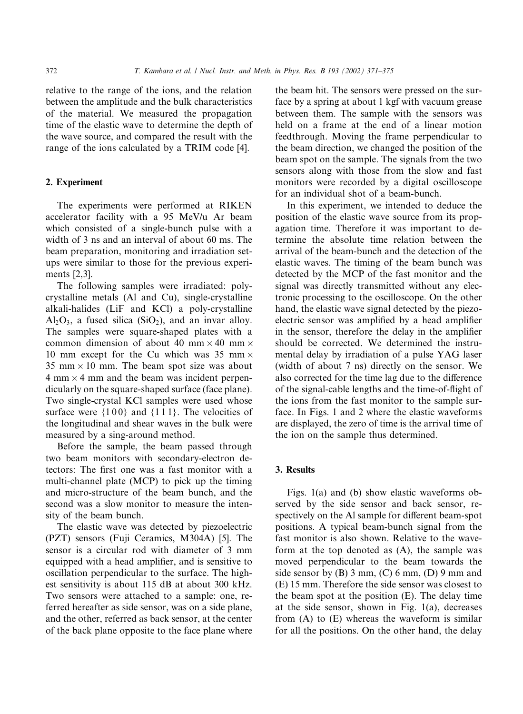relative to the range of the ions, and the relation between the amplitude and the bulk characteristics of the material. We measured the propagation time of the elastic wave to determine the depth of the wave source, and compared the result with the range of the ions calculated by a TRIM code [4].

# 2. Experiment

The experiments were performed at RIKEN accelerator facility with a 95 MeV/u Ar beam which consisted of a single-bunch pulse with a width of 3 ns and an interval of about 60 ms. The beam preparation, monitoring and irradiation setups were similar to those for the previous experiments [2,3].

The following samples were irradiated: polycrystalline metals (Al and Cu), single-crystalline alkali-halides (LiF and KCl) a poly-crystalline  $Al_2O_3$ , a fused silica (SiO<sub>2</sub>), and an invar alloy. The samples were square-shaped plates with a common dimension of about 40 mm  $\times$  40 mm  $\times$ 10 mm except for the Cu which was 35 mm  $\times$ 35 mm  $\times$  10 mm. The beam spot size was about  $4 \text{ mm} \times 4 \text{ mm}$  and the beam was incident perpendicularly on the square-shaped surface (face plane). Two single-crystal KCl samples were used whose surface were  $\{100\}$  and  $\{111\}$ . The velocities of the longitudinal and shear waves in the bulk were measured by a sing-around method.

Before the sample, the beam passed through two beam monitors with secondary-electron detectors: The first one was a fast monitor with a multi-channel plate (MCP) to pick up the timing and micro-structure of the beam bunch, and the second was a slow monitor to measure the intensity of the beam bunch.

The elastic wave was detected by piezoelectric (PZT) sensors (Fuji Ceramics, M304A) [5]. The sensor is a circular rod with diameter of 3 mm equipped with a head amplifier, and is sensitive to oscillation perpendicular to the surface. The highest sensitivity is about 115 dB at about 300 kHz. Two sensors were attached to a sample: one, referred hereafter as side sensor, was on a side plane, and the other, referred as back sensor, at the center of the back plane opposite to the face plane where the beam hit. The sensors were pressed on the surface by a spring at about 1 kgf with vacuum grease between them. The sample with the sensors was held on a frame at the end of a linear motion feedthrough. Moving the frame perpendicular to the beam direction, we changed the position of the beam spot on the sample. The signals from the two sensors along with those from the slow and fast monitors were recorded by a digital oscilloscope for an individual shot of a beam-bunch.

In this experiment, we intended to deduce the position of the elastic wave source from its propagation time. Therefore it was important to determine the absolute time relation between the arrival of the beam-bunch and the detection of the elastic waves. The timing of the beam bunch was detected by the MCP of the fast monitor and the signal was directly transmitted without any electronic processing to the oscilloscope. On the other hand, the elastic wave signal detected by the piezoelectric sensor was amplified by a head amplifier in the sensor, therefore the delay in the amplifier should be corrected. We determined the instrumental delay by irradiation of a pulse YAG laser (width of about 7 ns) directly on the sensor. We also corrected for the time lag due to the difference of the signal-cable lengths and the time-of-flight of the ions from the fast monitor to the sample surface. In Figs. 1 and 2 where the elastic waveforms are displayed, the zero of time is the arrival time of the ion on the sample thus determined.

## 3. Results

Figs. 1(a) and (b) show elastic waveforms observed by the side sensor and back sensor, respectively on the Al sample for different beam-spot positions. A typical beam-bunch signal from the fast monitor is also shown. Relative to the waveform at the top denoted as (A), the sample was moved perpendicular to the beam towards the side sensor by  $(B)$  3 mm,  $(C)$  6 mm,  $(D)$  9 mm and (E) 15 mm. Therefore the side sensor was closest to the beam spot at the position (E). The delay time at the side sensor, shown in Fig. 1(a), decreases from (A) to (E) whereas the waveform is similar for all the positions. On the other hand, the delay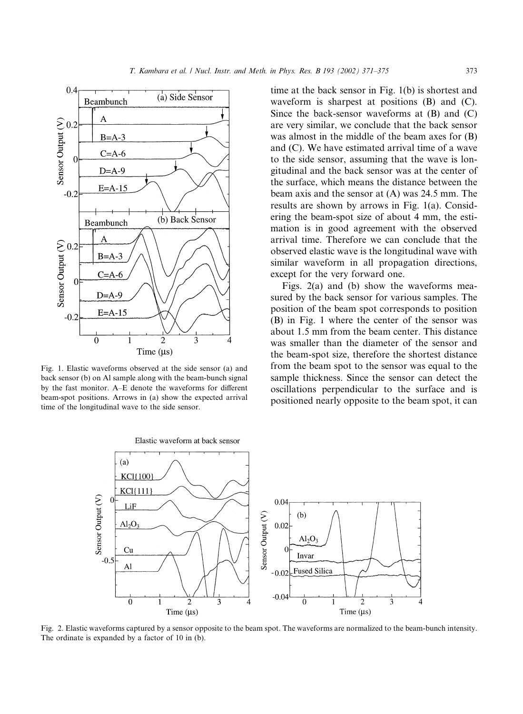

Fig. 1. Elastic waveforms observed at the side sensor (a) and back sensor (b) on Al sample along with the beam-bunch signal by the fast monitor. A–E denote the waveforms for different beam-spot positions. Arrows in (a) show the expected arrival time of the longitudinal wave to the side sensor.

time at the back sensor in Fig.  $1(b)$  is shortest and waveform is sharpest at positions (B) and (C). Since the back-sensor waveforms at (B) and (C) are very similar, we conclude that the back sensor was almost in the middle of the beam axes for (B) and (C). We have estimated arrival time of a wave to the side sensor, assuming that the wave is longitudinal and the back sensor was at the center of the surface, which means the distance between the beam axis and the sensor at (A) was 24.5 mm. The results are shown by arrows in Fig. 1(a). Considering the beam-spot size of about 4 mm, the estimation is in good agreement with the observed arrival time. Therefore we can conclude that the observed elastic wave is the longitudinal wave with similar waveform in all propagation directions, except for the very forward one.

Figs. 2(a) and (b) show the waveforms measured by the back sensor for various samples. The position of the beam spot corresponds to position (B) in Fig. 1 where the center of the sensor was about 1.5 mm from the beam center. This distance was smaller than the diameter of the sensor and the beam-spot size, therefore the shortest distance from the beam spot to the sensor was equal to the sample thickness. Since the sensor can detect the oscillations perpendicular to the surface and is positioned nearly opposite to the beam spot, it can



Fig. 2. Elastic waveforms captured by a sensor opposite to the beam spot. The waveforms are normalized to the beam-bunch intensity. The ordinate is expanded by a factor of 10 in (b).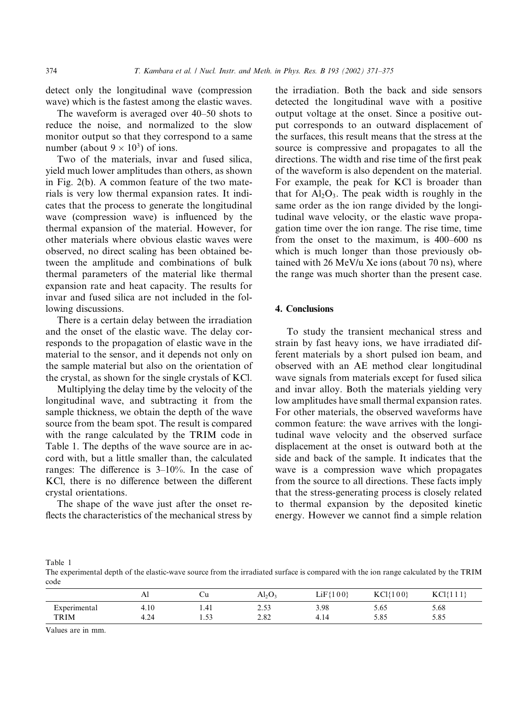detect only the longitudinal wave (compression wave) which is the fastest among the elastic waves.

The waveform is averaged over 40–50 shots to reduce the noise, and normalized to the slow monitor output so that they correspond to a same number (about  $9 \times 10^3$ ) of ions.

Two of the materials, invar and fused silica, yield much lower amplitudes than others, as shown in Fig. 2(b). A common feature of the two materials is very low thermal expansion rates. It indicates that the process to generate the longitudinal wave (compression wave) is influenced by the thermal expansion of the material. However, for other materials where obvious elastic waves were observed, no direct scaling has been obtained between the amplitude and combinations of bulk thermal parameters of the material like thermal expansion rate and heat capacity. The results for invar and fused silica are not included in the following discussions.

There is a certain delay between the irradiation and the onset of the elastic wave. The delay corresponds to the propagation of elastic wave in the material to the sensor, and it depends not only on the sample material but also on the orientation of the crystal, as shown for the single crystals of KCl.

Multiplying the delay time by the velocity of the longitudinal wave, and subtracting it from the sample thickness, we obtain the depth of the wave source from the beam spot. The result is compared with the range calculated by the TRIM code in Table 1. The depths of the wave source are in accord with, but a little smaller than, the calculated ranges: The difference is 3–10%. In the case of KCl, there is no difference between the different crystal orientations.

The shape of the wave just after the onset reflects the characteristics of the mechanical stress by the irradiation. Both the back and side sensors detected the longitudinal wave with a positive output voltage at the onset. Since a positive output corresponds to an outward displacement of the surfaces, this result means that the stress at the source is compressive and propagates to all the directions. The width and rise time of the first peak of the waveform is also dependent on the material. For example, the peak for KCl is broader than that for  $Al_2O_3$ . The peak width is roughly in the same order as the ion range divided by the longitudinal wave velocity, or the elastic wave propagation time over the ion range. The rise time, time from the onset to the maximum, is 400–600 ns which is much longer than those previously obtained with 26 MeV/u Xe ions (about 70 ns), where the range was much shorter than the present case.

# 4. Conclusions

To study the transient mechanical stress and strain by fast heavy ions, we have irradiated different materials by a short pulsed ion beam, and observed with an AE method clear longitudinal wave signals from materials except for fused silica and invar alloy. Both the materials yielding very low amplitudes have small thermal expansion rates. For other materials, the observed waveforms have common feature: the wave arrives with the longitudinal wave velocity and the observed surface displacement at the onset is outward both at the side and back of the sample. It indicates that the wave is a compression wave which propagates from the source to all directions. These facts imply that the stress-generating process is closely related to thermal expansion by the deposited kinetic energy. However we cannot find a simple relation

Table 1

The experimental depth of the elastic-wave source from the irradiated surface is compared with the ion range calculated by the TRIM code

|                             | Al           | Uи             | $\sqrt{2}$<br>$\text{Al}_2\text{O}_2$ | $LiF\{100\}$<br>--- | $KCl{100}$   | 1.111111     |
|-----------------------------|--------------|----------------|---------------------------------------|---------------------|--------------|--------------|
| Experimental<br><b>TRIM</b> | 4.10<br>4.24 | 1.41<br>$\sim$ | .<br>ر ر. ے<br>ററ                     | 3.98                | 5.65<br>5.85 | 5.68<br>5.85 |
|                             |              | ر ر. د         | 2.02                                  | 4.14                |              |              |

Values are in mm.